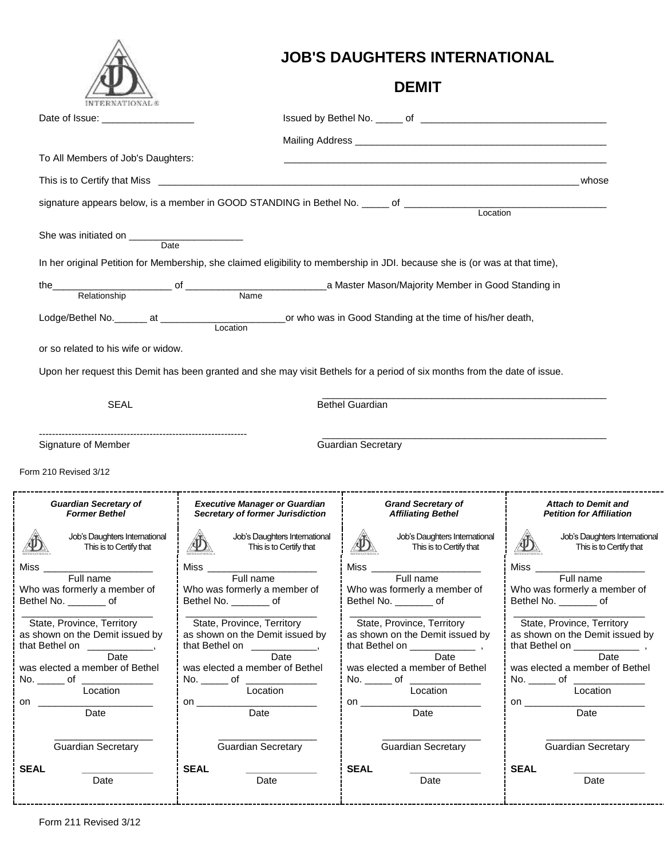|                                                               |                                                                                                                              | <b>JOB'S DAUGHTERS INTERNATIONAL</b>                          |                                                               |
|---------------------------------------------------------------|------------------------------------------------------------------------------------------------------------------------------|---------------------------------------------------------------|---------------------------------------------------------------|
|                                                               |                                                                                                                              | <b>DEMIT</b>                                                  |                                                               |
| Date of Issue: __________________                             |                                                                                                                              |                                                               |                                                               |
|                                                               |                                                                                                                              |                                                               |                                                               |
| To All Members of Job's Daughters:                            |                                                                                                                              |                                                               |                                                               |
|                                                               |                                                                                                                              |                                                               | whose                                                         |
|                                                               |                                                                                                                              |                                                               |                                                               |
|                                                               |                                                                                                                              |                                                               |                                                               |
| Date                                                          |                                                                                                                              |                                                               |                                                               |
|                                                               | In her original Petition for Membership, she claimed eligibility to membership in JDI. because she is (or was at that time), |                                                               |                                                               |
| the                                                           |                                                                                                                              |                                                               |                                                               |
|                                                               |                                                                                                                              |                                                               |                                                               |
|                                                               |                                                                                                                              |                                                               |                                                               |
| or so related to his wife or widow.                           |                                                                                                                              |                                                               |                                                               |
|                                                               | Upon her request this Demit has been granted and she may visit Bethels for a period of six months from the date of issue.    |                                                               |                                                               |
|                                                               |                                                                                                                              |                                                               |                                                               |
| <b>SEAL</b>                                                   |                                                                                                                              | <b>Bethel Guardian</b>                                        |                                                               |
|                                                               |                                                                                                                              |                                                               |                                                               |
| Signature of Member                                           |                                                                                                                              | <b>Guardian Secretary</b>                                     |                                                               |
| Form 210 Revised 3/12                                         |                                                                                                                              |                                                               |                                                               |
| <b>Guardian Secretary of</b><br><b>Former Bethel</b>          | <b>Executive Manager or Guardian</b><br><b>Secretary of former Jurisdiction</b>                                              | <b>Grand Secretary of</b><br><b>Affiliating Bethel</b>        | <b>Attach to Demit and</b><br><b>Petition for Affiliation</b> |
| Job's Daughters International<br>This is to Certify that      | Job's Daughters International<br>This is to Certify that                                                                     | Job's Daughters International<br>This is to Certify that      | Job's Daughters International<br>This is to Certify that      |
| Miss _                                                        | Miss                                                                                                                         | Miss                                                          | Miss $_{-}$                                                   |
| Full name<br>Who was formerly a member of                     | Full name<br>Who was formerly a member of                                                                                    | Full name<br>Who was formerly a member of                     | Full name<br>Who was formerly a member of                     |
| Bethel No. __________ of                                      | Bethel No. _________ of                                                                                                      | Bethel No. _________ of                                       | Bethel No. __________ of                                      |
| State, Province, Territory<br>as shown on the Demit issued by | State, Province, Territory<br>as shown on the Demit issued by                                                                | State, Province, Territory<br>as shown on the Demit issued by | State, Province, Territory<br>as shown on the Demit issued by |
| that Bethel on ____________                                   | that Bethel on ____________                                                                                                  | Date                                                          |                                                               |
| Date<br>was elected a member of Bethel                        | Date<br>was elected a member of Bethel                                                                                       | was elected a member of Bethel                                | Date<br>was elected a member of Bethel                        |
| No. _______ of _______________<br>Location                    | No. _______ of ______________<br>Location                                                                                    | No. _______ of _______________<br>Location                    | Location                                                      |
| on                                                            |                                                                                                                              | on $\qquad \qquad$<br>Date                                    |                                                               |
| $\overline{Date}$                                             |                                                                                                                              |                                                               |                                                               |
|                                                               |                                                                                                                              |                                                               |                                                               |
| <b>Guardian Secretary</b><br><b>SEAL</b>                      | <b>Guardian Secretary</b><br><b>SEAL</b>                                                                                     | <b>Guardian Secretary</b><br><b>SEAL</b>                      | <b>Guardian Secretary</b><br><b>SEAL</b>                      |